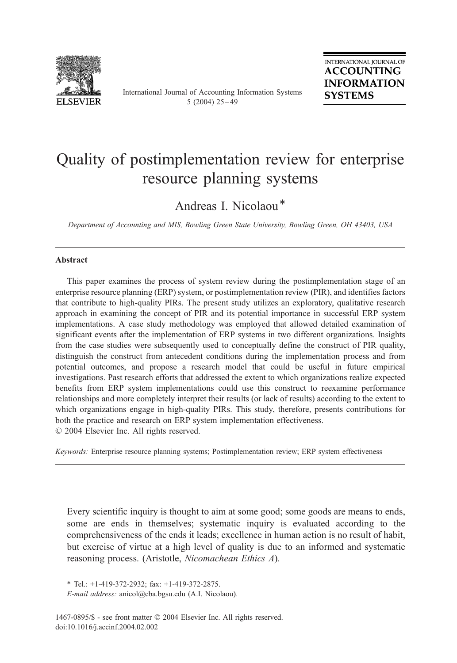

International Journal of Accounting Information Systems 5 (2004)  $25 - 49$ 

## Quality of postimplementation review for enterprise resource planning systems

Andreas I. Nicolaou\*

Department of Accounting and MIS, Bowling Green State University, Bowling Green, OH 43403, USA

## Abstract

This paper examines the process of system review during the postimplementation stage of an enterprise resource planning (ERP) system, or postimplementation review (PIR), and identifies factors that contribute to high-quality PIRs. The present study utilizes an exploratory, qualitative research approach in examining the concept of PIR and its potential importance in successful ERP system implementations. A case study methodology was employed that allowed detailed examination of significant events after the implementation of ERP systems in two different organizations. Insights from the case studies were subsequently used to conceptually define the construct of PIR quality, distinguish the construct from antecedent conditions during the implementation process and from potential outcomes, and propose a research model that could be useful in future empirical investigations. Past research efforts that addressed the extent to which organizations realize expected benefits from ERP system implementations could use this construct to reexamine performance relationships and more completely interpret their results (or lack of results) according to the extent to which organizations engage in high-quality PIRs. This study, therefore, presents contributions for both the practice and research on ERP system implementation effectiveness.  $\odot$  2004 Elsevier Inc. All rights reserved.

Keywords: Enterprise resource planning systems; Postimplementation review; ERP system effectiveness

Every scientific inquiry is thought to aim at some good; some goods are means to ends, some are ends in themselves; systematic inquiry is evaluated according to the comprehensiveness of the ends it leads; excellence in human action is no result of habit, but exercise of virtue at a high level of quality is due to an informed and systematic reasoning process. (Aristotle, Nicomachean Ethics A).

<sup>\*</sup> Tel.: +1-419-372-2932; fax: +1-419-372-2875.

E-mail address: anicol@cba.bgsu.edu (A.I. Nicolaou).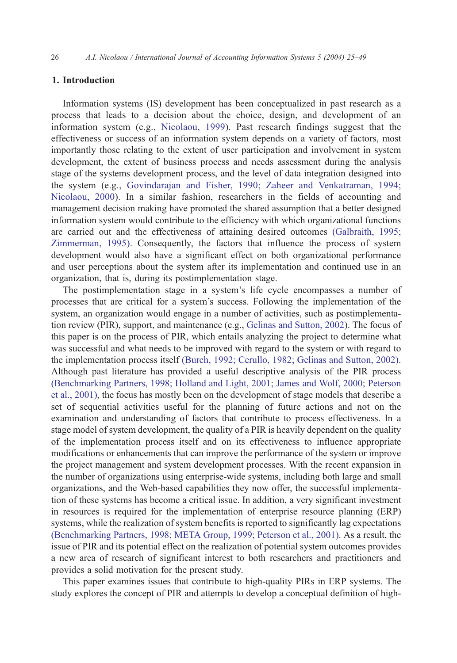## 1. Introduction

Information systems (IS) development has been conceptualized in past research as a process that leads to a decision about the choice, design, and development of an information system (e.g., [Nicolaou, 1999\)](#page--1-0). Past research findings suggest that the effectiveness or success of an information system depends on a variety of factors, most importantly those relating to the extent of user participation and involvement in system development, the extent of business process and needs assessment during the analysis stage of the systems development process, and the level of data integration designed into the system (e.g., [Govindarajan and Fisher, 1990; Zaheer and Venkatraman, 1994;](#page--1-0) Nicolaou, 2000). In a similar fashion, researchers in the fields of accounting and management decision making have promoted the shared assumption that a better designed information system would contribute to the efficiency with which organizational functions are carried out and the effectiveness of attaining desired outcomes [\(Galbraith, 1995;](#page--1-0) Zimmerman, 1995). Consequently, the factors that influence the process of system development would also have a significant effect on both organizational performance and user perceptions about the system after its implementation and continued use in an organization, that is, during its postimplementation stage.

The postimplementation stage in a system's life cycle encompasses a number of processes that are critical for a system's success. Following the implementation of the system, an organization would engage in a number of activities, such as postimplementation review (PIR), support, and maintenance (e.g., [Gelinas and Sutton, 2002\)](#page--1-0). The focus of this paper is on the process of PIR, which entails analyzing the project to determine what was successful and what needs to be improved with regard to the system or with regard to the implementation process itself [\(Burch, 1992; Cerullo, 1982; Gelinas and Sutton, 2002\).](#page--1-0) Although past literature has provided a useful descriptive analysis of the PIR process [\(Benchmarking Partners, 1998; Holland and Light, 2001; James and Wolf, 2000; Peterson](#page--1-0) et al., 2001), the focus has mostly been on the development of stage models that describe a set of sequential activities useful for the planning of future actions and not on the examination and understanding of factors that contribute to process effectiveness. In a stage model of system development, the quality of a PIR is heavily dependent on the quality of the implementation process itself and on its effectiveness to influence appropriate modifications or enhancements that can improve the performance of the system or improve the project management and system development processes. With the recent expansion in the number of organizations using enterprise-wide systems, including both large and small organizations, and the Web-based capabilities they now offer, the successful implementation of these systems has become a critical issue. In addition, a very significant investment in resources is required for the implementation of enterprise resource planning (ERP) systems, while the realization of system benefits is reported to significantly lag expectations [\(Benchmarking Partners, 1998; META Group, 1999; Peterson et al., 2001\).](#page--1-0) As a result, the issue of PIR and its potential effect on the realization of potential system outcomes provides a new area of research of significant interest to both researchers and practitioners and provides a solid motivation for the present study.

This paper examines issues that contribute to high-quality PIRs in ERP systems. The study explores the concept of PIR and attempts to develop a conceptual definition of high-